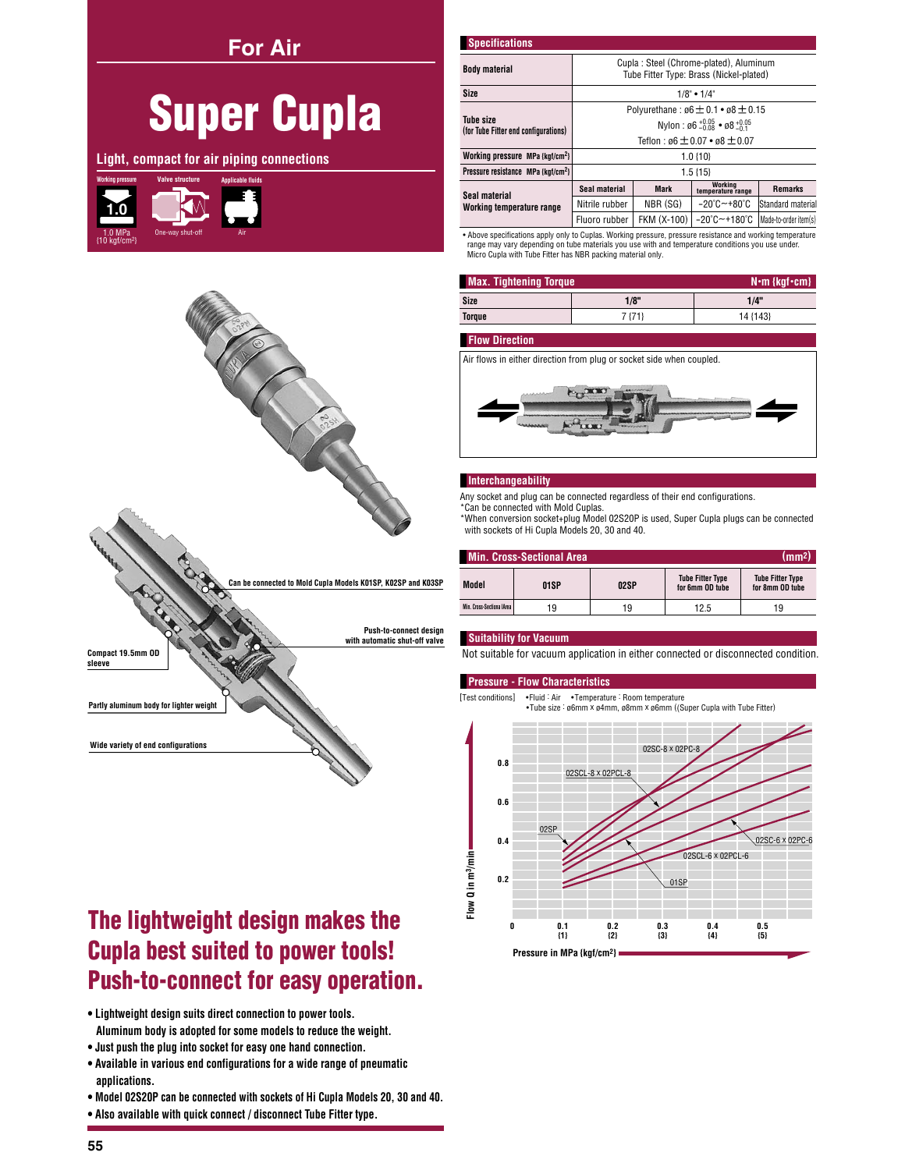**For Air** 

# **Super Cupla**

Light, compact for air piping connections





# The lightweight design makes the **Cupla best suited to power tools! Push-to-connect for easy operation.**

- . Lightweight design suits direct connection to power tools. Aluminum body is adopted for some models to reduce the weight.
- . Just push the plug into socket for easy one hand connection.
- . Available in various end configurations for a wide range of pneumatic applications.
- . Model 02S20P can be connected with sockets of Hi Cupla Models 20, 30 and 40.
- . Also available with quick connect / disconnect Tube Fitter type.

| <b>Specifications</b>                                    |                                                                                   |             |                                       |                       |  |  |
|----------------------------------------------------------|-----------------------------------------------------------------------------------|-------------|---------------------------------------|-----------------------|--|--|
| <b>Body material</b>                                     | Cupla: Steel (Chrome-plated), Aluminum<br>Tube Fitter Type: Brass (Nickel-plated) |             |                                       |                       |  |  |
| <b>Size</b>                                              | $1/8$ " • $1/4$ "                                                                 |             |                                       |                       |  |  |
|                                                          | Polyurethane: $\emptyset6 \pm 0.1 \cdot \emptyset8 \pm 0.15$                      |             |                                       |                       |  |  |
| <b>Tube size</b><br>(for Tube Fitter end configurations) | Nylon: $\emptyset$ 6 + 0.05 • $\emptyset$ 8 + 0.05                                |             |                                       |                       |  |  |
|                                                          | Teflon: $66 \pm 0.07 \cdot 68 \pm 0.07$                                           |             |                                       |                       |  |  |
| Working pressure MPa {kgf/cm <sup>2}</sup>               | $1.0 \{10\}$                                                                      |             |                                       |                       |  |  |
| Pressure resistance MPa {kaf/cm <sup>2}</sup>            | $1.5 \{15\}$                                                                      |             |                                       |                       |  |  |
| Seal material<br>Working temperature range               | Seal material                                                                     | <b>Mark</b> | Working<br>temperature range          | <b>Remarks</b>        |  |  |
|                                                          | Nitrile rubber                                                                    | NBR (SG)    | $-20^{\circ}$ C $-+80^{\circ}$ C      | Standard material     |  |  |
|                                                          | Fluoro rubber                                                                     | FKM (X-100) | $-20^{\circ}$ C $-$ +180 $^{\circ}$ C | Made-to-order item(s) |  |  |

. Above specifications apply only to Cuplas. Working pressure, pressure resistance and working temperature range may vary depending on tube materials you use with and temperature conditions you use under.<br>Micro Cupla with Tube Fitter has NBR packing material only.

| <b>Max. Tightening Torque</b> | $N \cdot m$ {kgf $\cdot$ cm} |          |  |
|-------------------------------|------------------------------|----------|--|
| Size                          | 1/8"                         | 1/4"     |  |
| Torque                        | 7 {71}                       | 14 {143} |  |

## **Flow Direction**

Air flows in either direction from plug or socket side when coupled.



#### **Interchangeability**

Any socket and plug can be connected regardless of their end configurations.

\*Can be connected with Mold Cuplas.

\*When conversion socket+plug Model 02S20P is used, Super Cupla plugs can be connected with sockets of Hi Cupla Models 20, 30 and 40.

| (mm <sup>2</sup> )<br><b>Min. Cross-Sectional Area</b> |      |      |                                            |                                            |  |  |
|--------------------------------------------------------|------|------|--------------------------------------------|--------------------------------------------|--|--|
| Model                                                  | 01SP | 02SP | <b>Tube Fitter Type</b><br>for 6mm OD tube | <b>Tube Fitter Type</b><br>for 8mm OD tube |  |  |
| Min. Cross-Sectiona IArea                              | 19   | 19   | 12.5                                       | 19                                         |  |  |

#### **Suitability for Vacuum**

Not suitable for vacuum application in either connected or disconnected condition.

## **Pressure - Flow Characteristics**

[Test conditions] •Fluid : Air •Temperature : Room temperature<br>•Tube size : ø6mm x ø4mm, ø8mm x ø6mm ((Super Cupla ) with Tuhe Fitter)